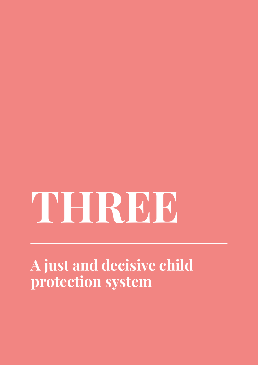# **THREE**

**A just and decisive child protection system**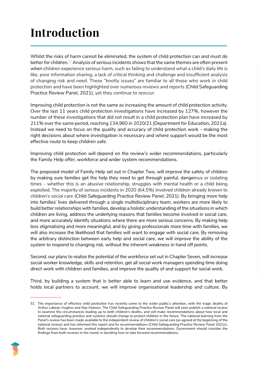# **Introduction**

Whilst the risks of harm cannot be eliminated, the system of child protection can and must do better for children.51 Analysis of serious incidents shows that the same themes are often present when children experience serious harm, such as failing to understand what a child's daily life is like, poor information sharing, a lack of critical thinking and challenge and insufficient analysis of changing risk and need. These "knotty issues" are familiar to all those who work in child protection and have been highlighted over numerous reviews and reports (Child Safeguarding Practice Review Panel, 2021), yet they continue to reoccur.

Improving child protection is not the same as increasing the *amount* of child protection activity. Over the last 11 years child protection investigations have increased by 127%, however the number of these investigations that did not result in a child protection plan have increased by 211% over the same period, reaching 134,960 in 2020/21 (Department for Education, 2021a). Instead we need to focus on the *quality* and *accuracy* of child protection work - making the right decisions about where investigation is necessary and where support would be the most effective route to keep children safe.

Improving child protection will depend on the review's wider recommendations, particularly the Family Help offer, workforce and wider system recommendations.

The proposed model of Family Help set out in Chapter Two, will improve the safety of children by making sure families get the help they need to get through painful, dangerous or isolating times - whether this is an abusive relationship, struggles with mental health or a child being exploited. The majority of serious incidents in 2020 (64.5%) involved children already known to children's social care (Child Safeguarding Practice Review Panel, 2021). By bringing more help into families' lives delivered through a single multidisciplinary team, workers are more likely to build better relationships with families, develop a holistic understanding of the situations in which children are living, address the underlying reasons that families become involved in social care, and more accurately identify situations where there are more serious concerns. By making help less stigmatising and more meaningful, and by giving professionals more time with families, we will also increase the likelihood that families will want to engage with social care. By removing the arbitrary distinction between early help and social care, we will improve the ability of the system to respond to changing risk, without the inherent weakness in hand off points.

Second, our plans to realise the potential of the workforce set out in Chapter Seven, will increase social worker knowledge, skills and retention, get all social work managers spending time doing direct work with children and families, and improve the quality of and support for social work.

Third, by building a system that is better able to learn and use evidence, and that better holds local partners to account, we will improve organisational leadership and culture. By

<sup>51</sup> The importance of effective child protection has recently come to the wider public's attention, with the tragic deaths of Arthur Labinjo-Hughes and Star Hobson. The Child Safeguarding Practice Review Panel will soon publish a national review to examine the circumstances leading up to both children's deaths, and will make recommendations about how local and national safeguarding practice and systems should change to protect children in the future. The national learning from the Panel's review has been made available to the independent review of children's social care (as agreed at the beginning of the national review) and has informed this report and its recommendations (Child Safeguarding Practice Review Panel 2021c). Both reviews have, however, worked independently to develop their recommendations. Government should consider the findings from both reviews in the round, in deciding how to take forward recommendations.

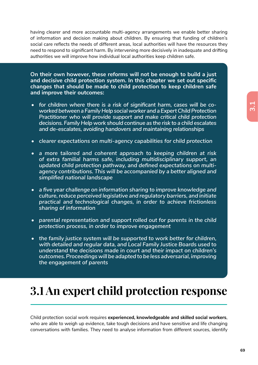**3.1**

having clearer and more accountable multi-agency arrangements we enable better sharing of information and decision making about children. By ensuring that funding of children's social care reflects the needs of different areas, local authorities will have the resources they need to respond to significant harm. By intervening more decisively in inadequate and drifting authorities we will improve how individual local authorities keep children safe.

**On their own however, these reforms will not be enough to build a just and decisive child protection system. In this chapter we set out specific changes that should be made to child protection to keep children safe and improve their outcomes:** 

- *• for children where there is a risk of significant harm, cases will be coworked between a Family Help social worker and a Expert Child Protection Practitioner who will provide support and make critical child protection decisions. Family Help work should continue as the risk to a child escalates and de-escalates, avoiding handovers and maintaining relationships*
- *• clearer expectations on multi-agency capabilities for child protection*
- *• a more tailored and coherent approach to keeping children at risk of extra familial harms safe, including multidisciplinary support, an updated child protection pathway, and defined expectations on multiagency contributions. This will be accompanied by a better aligned and simplified national landscape*
- *• a five year challenge on information sharing to improve knowledge and culture, reduce perceived legislative and regulatory barriers, and initiate practical and technological changes, in order to achieve frictionless sharing of information*
- *• parental representation and support rolled out for parents in the child protection process, in order to improve engagement*
- *• the family justice system will be supported to work better for children, with detailed and regular data, and Local Family Justice Boards used to understand the decisions made in court and their impact on children's outcomes. Proceedings will be adapted to be less adversarial, improving the engagement of parents*

# **3.1 An expert child protection response**

Child protection social work requires **experienced, knowledgeable and skilled social workers**, who are able to weigh up evidence, take tough decisions and have sensitive and life changing conversations with families. They need to analyse information from different sources, identify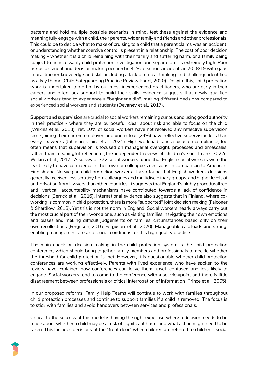patterns and hold multiple possible scenarios in mind, test these against the evidence and meaningfully engage with a child, their parents, wider family and friends and other professionals. This could be to decide what to make of bruising to a child that a parent claims was an accident, or understanding whether coercive control is present in a relationship. The cost of poor decision making - whether it is a child remaining with their family and suffering harm, or a family being subject to unnecessarily child protection investigation and separation - is extremely high. Poor risk assessment and decision making occured in 41% of serious incidents in 2018/19 with gaps in practitioner knowledge and skill, including a lack of critical thinking and challenge identified as a key theme (Child Safeguarding Practice Review Panel, 2020). Despite this, child protection work is undertaken too often by our most inexperienced practitioners, who are early in their careers and often lack support to build their skills. Evidence suggests that newly qualified social workers tend to experience a "beginner's dip", making different decisions compared to experienced social workers and students (Devaney et al., 2017)**.** 

**Support and supervision** are crucial to social workers remaining curious and using good authority in their practice - where they are purposeful, clear about risk and able to focus on the child (Wilkins et al., 2018). Yet, 10% of social workers have not received any reflective supervision since joining their current employer, and one in four (24%) have reflective supervision less than every six weeks (Johnson, Claire et al., 2021). High workloads and a focus on compliance, too often means that supervision is focused on managerial oversight, processes and timescales, rather than meaningful reflection (The independent review of children's social care, 2022c; Wilkins et al., 2017). A survey of 772 social workers found that English social workers were the least likely to have confidence in their own or colleague's decisions, in comparison to American, Finnish and Norwegian child protection workers. It also found that English workers' decisions generally received less scrutiny from colleagues and multidisciplinary groups, and higher levels of authorisation from lawyers than other countries. It suggests that England's highly proceduralized and "vertical" accountability mechanisms have contributed towards a lack of confidence in decisions (Berrick et al., 2016). International evidence also suggests that in Finland, where coworking is common in child protection, there is more "supported" joint decision making (Falconer & Shardlow, 2018). Yet this is not the norm in England. Social workers nearly always carry out the most crucial part of their work alone, such as visiting families, navigating their own emotions and biases and making difficult judgements on families' circumstances based only on their own recollections (Ferguson, 2016; Ferguson, et al., 2020). Manageable caseloads and strong, enabling management are also crucial conditions for this high quality practice.

The main check on decision making in the child protection system is the child protection conference, which should bring together family members and professionals to decide whether the threshold for child protection is met. However, it is questionable whether child protection conferences are working effectively. Parents with lived experience who have spoken to the review have explained how conferences can leave them upset, confused and less likely to engage. Social workers tend to come to the conference with a set viewpoint and there is little disagreement between professionals or critical interrogation of information (Prince et al., 2005).

In our proposed reforms, Family Help Teams will continue to work with families throughout child protection processes and continue to support families if a child is removed. The focus is to stick with families and avoid handovers between services and professionals.

Critical to the success of this model is having the right expertise where a decision needs to be made about whether a child may be at risk of significant harm, and what action might need to be taken. This includes decisions at the "front door" when children are referred to children's social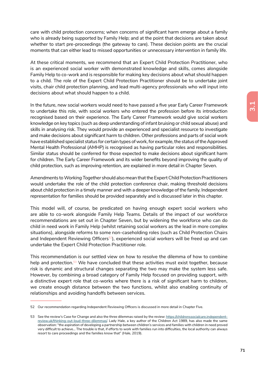care with child protection concerns; when concerns of significant harm emerge about a family who is already being supported by Family Help; and at the point that decisions are taken about whether to start pre-proceedings (the gateway to care). These decision points are the crucial moments that can either lead to missed opportunities or unnecessary intervention in family life.

At these critical moments, we recommend that an Expert Child Protection Practitioner, who is an experienced social worker with demonstrated knowledge and skills, comes alongside Family Help to co-work and is responsible for making key decisions about what should happen to a child. The role of the Expert Child Protection Practitioner should be to undertake joint visits, chair child protection planning, and lead multi-agency professionals who will input into decisions about what should happen to a child.

In the future, new social workers would need to have passed a five year Early Career Framework to undertake this role, with social workers who entered the profession before its introduction recognised based on their experience. The Early Career Framework would give social workers knowledge on key topics (such as deep understanding of infant bruising or child sexual abuse) and skills in analysing risk. They would provide an experienced and specialist resource to investigate and make decisions about significant harm to children. Other professions and parts of social work have established specialist status for certain types of work, for example, the status of the Approved Mental Health Professional (AMHP) is recognised as having particular roles and responsibilities. Similar status should be conferred for those expected to make decisions about significant harm for children. The Early Career Framework and its wider benefits beyond improving the quality of child protection, such as improving retention, are explained in more detail in Chapter Seven.

Amendments to *Working Together* should also mean that the Expert Child Protection Practitioners would undertake the role of the child protection conference chair, making threshold decisions about child protection in a timely manner and with a deeper knowledge of the family. Independent representation for families should be provided separately and is discussed later in this chapter.

This model will, of course, be predicated on having enough expert social workers who are able to co-work alongside Family Help Teams. Details of the impact of our workforce recommendations are set out in Chapter Seven, but by widening the workforce who can do child in need work in Family Help (whilst retaining social workers as the lead in more complex situations), alongside reforms to some non-caseholding roles (such as Child Protection Chairs and Independent Reviewing Officers<sup>52</sup>), experienced social workers will be freed up and can undertake the Expert Child Protection Practitioner role.

This recommendation is our settled view on how to resolve the dilemma of how to combine help and protection.<sup>53</sup> We have concluded that these activities must exist together, because risk is dynamic and structural changes separating the two may make the system less safe. However, by combining a broad category of Family Help focused on providing support, with a distinctive expert role that co-works where there is a risk of significant harm to children, we create enough distance between the two functions, whilst also enabling continuity of relationships and avoiding handoffs between services.

<sup>52</sup> Our recommendation regarding Independent Reviewing Officers is discussed in more detail in Chapter Five.

<sup>53</sup> See the review's Case for Change and also the three dilemmas raised by the review: https://childrenssocialcare.independentreview.uk/thinking-out-loud-three-dilemmas/. Lady Hale, a key author of the Children Act 1989, has also made the same observation: "the aspiration of developing a partnership between children's services and families with children in need proved very difficult to achieve… The trouble is that, if efforts to work with families run into difficulties, the local authority can always resort to care proceedings and the families know that" (Hale, 2019).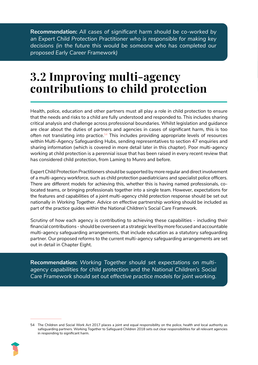**Recommendation:** *All cases of significant harm should be co-worked by an Expert Child Protection Practitioner who is responsible for making key decisions (in the future this would be someone who has completed our proposed Early Career Framework)*

# **3.2 Improving multi-agency contributions to child protection**

Health, police, education and other partners must all play a role in child protection to ensure that the needs and risks to a child are fully understood and responded to. This includes sharing critical analysis and challenge across professional boundaries. Whilst legislation and guidance are clear about the duties of partners and agencies in cases of significant harm, this is too often not translating into practice.<sup>54</sup> This includes providing appropriate levels of resources within Multi-Agency Safeguarding Hubs, sending representatives to section 47 enquiries and sharing information (which is covered in more detail later in this chapter). Poor multi-agency working at child protection is a perennial issue that has been raised in every recent review that has considered child protection, from Laming to Munro and before.

Expert Child Protection Practitioners should be supported by more regular and direct involvement of a multi-agency workforce, such as child protection paediatricians and specialist police officers. There are different models for achieving this, whether this is having named professionals, colocated teams, or bringing professionals together into a single team. However, expectations for the features and capabilities of a joint multi-agency child protection response should be set out nationally in *Working Together*. Advice on effective partnership working should be included as part of the practice guides within the National Children's Social Care Framework.

Scrutiny of how each agency is contributing to achieving these capabilities - including their financial contributions - should be overseen at a strategic level by more focused and accountable multi-agency safeguarding arrangements, that include education as a statutory safeguarding partner. Our proposed reforms to the current multi-agency safeguarding arrangements are set out in detail in Chapter Eight.

**Recommendation:** *Working Together should set expectations on multiagency capabilities for child protection and the National Children's Social Care Framework should set out effective practice models for joint working.* 

<sup>54</sup> The Children and Social Work Act 2017 places a joint and equal responsibility on the police, health and local authority as safeguarding partners. Working Together to Safeguard Children 2018 sets out clear responsibilities for all relevant agencies in responding to significant harm.

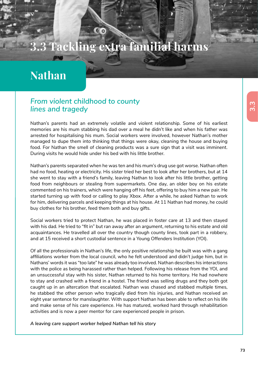# **3.3 Tackling extra familial harms**

# **Nathan**

## *From violent childhood to county lines and tragedy*

Nathan's parents had an extremely volatile and violent relationship. Some of his earliest memories are his mum stabbing his dad over a meal he didn't like and when his father was arrested for hospitalising his mum. Social workers were involved, however Nathan's mother managed to dupe them into thinking that things were okay, cleaning the house and buying food. For Nathan the smell of cleaning products was a sure sign that a visit was imminent. During visits he would hide under his bed with his little brother.

Nathan's parents separated when he was ten and his mum's drug use got worse. Nathan often had no food, heating or electricity. His sister tried her best to look after her brothers, but at 14 she went to stay with a friend's family, leaving Nathan to look after his little brother, getting food from neighbours or stealing from supermarkets. One day, an older boy on his estate commented on his trainers, which were hanging off his feet, offering to buy him a new pair. He started turning up with food or calling to play Xbox. After a while, he asked Nathan to work for him, delivering parcels and keeping things at his house. At 11 Nathan had money, he could buy clothes for his brother, feed them both and buy gifts.

Social workers tried to protect Nathan, he was placed in foster care at 13 and then stayed with his dad. He tried to "fit in" but ran away after an argument, returning to his estate and old acquaintances. He travelled all over the country though county lines, took part in a robbery, and at 15 received a short custodial sentence in a Young Offenders Institution (YOI).

Of all the professionals in Nathan's life, the only positive relationship he built was with a gang affiliations worker from the local council, who he felt understood and didn't judge him, but in Nathans' words it was "too late" he was already too involved. Nathan describes his interactions with the police as being harassed rather than helped. Following his release from the YOI, and an unsuccessful stay with his sister, Nathan returned to his home territory. He had nowhere to stay and crashed with a friend in a hostel. The friend was selling drugs and they both got caught up in an altercation that escalated. Nathan was chased and stabbed multiple times, he stabbed the other person who tragically died from his injuries, and Nathan received an eight year sentence for manslaughter. With support Nathan has been able to reflect on his life and make sense of his care experience. He has matured, worked hard through rehabilitation activities and is now a peer mentor for care experienced people in prison.

*A leaving care support worker helped Nathan tell his story*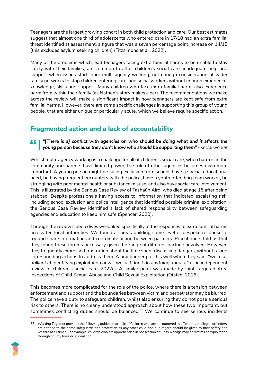Teenagers are the largest growing cohort in both child protection and care. Our best estimates suggest that almost one third of adolescents who entered care in 17/18 had an extra familial threat identified at assessment, a figure that was a seven percentage point increase on 14/15 (this excludes asylum seeking children) (Fitzsimons et al., 2022).

Many of the problems which lead teenagers facing extra familial harms to be unable to stay safely with their families, are common to all of children's social care: inadequate help and support when issues start; poor multi-agency working; not enough consideration of wider family networks to stop children entering care; and social workers without enough experience, knowledge, skills and support. Many children who face extra familial harm, also experience harm from within their family (as Nathan's story makes clear). The recommendations we make across the review will make a significant impact in how teenagers are kept safe from extra familial harms. However, there are some specific challenges in supporting this group of young people, that are either unique or particularly acute, which we believe require specific action.

## **Fragmented action and a lack of accountability**

*"[There is a] conflict with agencies on who should be doing what and it affects the young person because they don't know who should be supporting them" - social worker*

Whilst multi-agency working is a challenge for all of children's social care, when harm is in the community and parents have limited power, the role of other agencies becomes even more important. A young person might be facing exclusion from school, have a special educational need, be having frequent encounters with the police, have a youth offending team worker, be struggling with poor mental health or substance misuse, and also have social care involvement. This is illustrated by the Serious Case Review of Tashaûn Aird, who died at age 15 after being stabbed. Despite professionals having access to information that indicated escalating risk, including school exclusion and police intelligence that identified possible criminal exploitation, the Serious Case Review identified a lack of shared responsibility between safeguarding agencies and education to keep him safe (Spencer, 2020).

Through the review's deep dives we looked specifically at the responses to extra familial harms across ten local authorities. We found all areas building some level of bespoke response to try and share information and coordinate action between partners. Practitioners told us that they found these forums necessary given the range of different partners involved. However, they frequently expressed frustration about the time spent discussing dangers, without taking corresponding actions to address them. A practitioner put this well when they said: *"we're all brilliant at identifying exploitation now - we just don't do anything about it*" (The independent review of children's social care, 2022c). A similar point was made by Joint Targeted Area Inspections of Child Sexual Abuse and Child Sexual Exploitation (Ofsted, 2016).

This becomes more complicated for the role of the police, where there is a tension between enforcement and support and the boundaries between victim and perpetrator may be blurred. The police have a duty to safeguard children, whilst also ensuring they do not pose a serious risk to others. There is no clearly understood approach about how these two important, but sometimes conflicting duties should be balanced.<sup>55</sup> We continue to see serious incidents

<sup>55</sup> *Working Together* provides the following guidance to police: "Children who are encountered as offenders, or alleged offenders, are entitled to the same safeguards and protection as any other child and due regard should be given to their safety and welfare at all times. For example, children who are apprehended in possession of Class A drugs may be victims of exploitation through county lines drug dealing."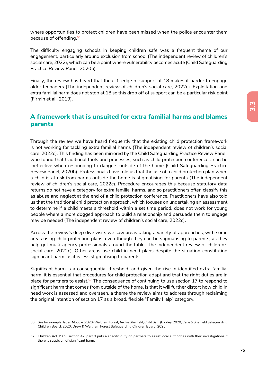where opportunities to protect children have been missed when the police encounter them because of offending.<sup>56</sup>

The difficulty engaging schools in keeping children safe was a frequent theme of our engagement, particularly around exclusion from school (The independent review of children's social care, 2022), which can be a point where vulnerability becomes acute (Child Safeguarding Practice Review Panel, 2020b).

Finally, the review has heard that the cliff edge of support at 18 makes it harder to engage older teenagers (The independent review of children's social care, 2022c). Exploitation and extra familial harm does not stop at 18 so this drop off of support can be a particular risk point (Firmin et al., 2019).

### **A framework that is unsuited for extra familial harms and blames parents**

Through the review we have heard frequently that the existing child protection framework is not working for tackling extra familial harms (The independent review of children's social care, 2022c). This finding has been mirrored by the Child Safeguarding Practice Review Panel, who found that traditional tools and processes, such as child protection conferences, can be ineffective when responding to dangers outside of the home (Child Safeguarding Practice Review Panel, 2020b). Professionals have told us that the use of a child protection plan when a child is at risk from harms outside the home is stigmatising for parents (The independent review of children's social care, 2022c). Procedure encourages this because statutory data returns do not have a category for extra familial harms, and so practitioners often classify this as abuse and neglect at the end of a child protection conference. Practitioners have also told us that the traditional child protection approach, which focuses on undertaking an assessment to determine if a child meets a threshold within a set time period, does not work for young people where a more dogged approach to build a relationship and persuade them to engage may be needed (The independent review of children's social care, 2022c).

Across the review's deep dive visits we saw areas taking a variety of approaches, with some areas using child protection plans, even though they can be stigmatising to parents, as they help get multi-agency professionals around the table (The independent review of children's social care, 2022c). Other areas use child in need plans despite the situation constituting significant harm, as it is less stigmatising to parents.

Significant harm is a consequential threshold, and given the rise in identified extra familial harm, it is essential that procedures for child protection adapt and that the right duties are in place for partners to assist.<sup>57</sup> The consequence of continuing to use section 17 to respond to significant harm that comes from outside of the home, is that it will further distort how child in need work is assessed and overseen, a theme the review aims to address through reclaiming the original intention of section 17 as a broad, flexible "Family Help" category.

<sup>56</sup> See for example: Jaden Moodie (2020) Waltham Forest; Archie Sheffield; Child Sam (Bickley, 2020; Cane & Sheffield Safeguarding Children Board, 2020; Drew & Waltham Forest Safeguarding Children Board, 2020).

<sup>57</sup> Children Act 1989, section 47, part 9 puts a specific duty on partners to assist local authorities with their investigations if there is suspicion of significant harm.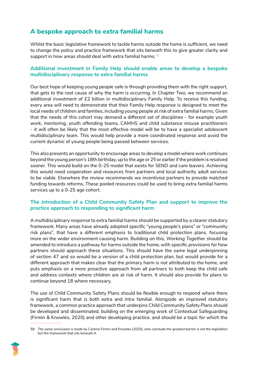## **A bespoke approach to extra familial harms**

Whilst the basic legislative framework to tackle harms outside the home is sufficient, we need to change the policy and practice framework that sits beneath this to give greater clarity and support in how areas should deal with extra familial harms.<sup>58</sup>

#### **Additional investment in Family Help should enable areas to develop a bespoke multidisciplinary response to extra familial harms**

Our best hope of keeping young people safe is through providing them with the right support, that gets to the root cause of why the harm is occurring. In Chapter Two, we recommend an additional investment of £2 billion in multidisciplinary Family Help. To receive this funding, every area will need to demonstrate that their Family Help response is designed to meet the local needs of children and families, including young people at risk of extra familial harms. Given that the needs of this cohort may demand a different set of disciplines - for example youth work, mentoring, youth offending teams, CAMHS and child substance misuse practitioners - it will often be likely that the most effective model will be to have a specialist adolescent multidisciplinary team. This would help provide a more coordinated response and avoid the current dynamic of young people being passed between services.

This also presents an opportunity to encourage areas to develop a model where work continues beyond the young person's 18th birthday, up to the age or 25 or earlier if the problem is resolved sooner. This would build on the 0-25 model that exists for SEND and care leavers. Achieving this would need cooperation and resources from partners and local authority adult services to be viable. Elsewhere the review recommends we incentivise partners to provide matched funding towards reforms. These pooled resources could be used to bring extra familial harms services up to a 0-25 age cohort.

#### **The introduction of a Child Community Safety Plan and support to improve the practice approach to responding to significant harm**

A multidisciplinary response to extra familial harms should be supported by a clearer statutory framework. Many areas have already adopted specific "young people's plans" or "community risk plans", that have a different emphasis to traditional child protection plans, focusing more on the wider environment causing harm. Building on this, *Working Together* should be amended to introduce a pathway for harms outside the home, with specific provisions for how partners should approach these situations. This should have the same legal underpinning of section 47 and so would be a version of a child protection plan, but would provide for a different approach that makes clear that the primary harm is not attributed to the home, and puts emphasis on a more proactive approach from all partners to both keep the child safe and address contexts where children are at risk of harm. It should also provide for plans to continue beyond 18 where necessary.

The use of Child Community Safety Plans should be flexible enough to respond where there is significant harm that is both extra and intra familial. Alongside an improved statutory framework, a common practice approach that underpins Child Community Safety Plans should be developed and disseminated, building on the emerging work of Contextual Safeguarding (Firmin & Knowles, 2020) and other developing practice, and should be a topic for which the

<sup>58</sup> The same conclusion is made by Carlene Firmin and Knowles (2020), who conclude the greatest barrier is not the legislation but the framework that sits beneath it.

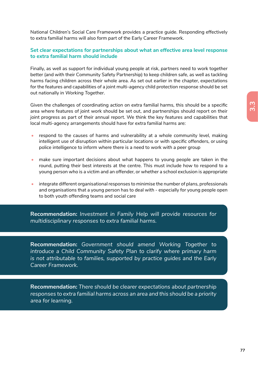National Children's Social Care Framework provides a practice guide. Responding effectively to extra familial harms will also form part of the Early Career Framework.

#### **Set clear expectations for partnerships about what an effective area level response to extra familial harm should include**

Finally, as well as support for individual young people at risk, partners need to work together better (and with their Community Safety Partnership) to keep children safe, as well as tackling harms facing children across their whole area. As set out earlier in the chapter, expectations for the features and capabilities of a joint multi-agency child protection response should be set out nationally in *Working Together*.

Given the challenges of coordinating action on extra familial harms, this should be a specific area where features of joint work should be set out, and partnerships should report on their joint progress as part of their annual report. We think the key features and capabilities that local multi-agency arrangements should have for extra familial harms are:

- respond to the causes of harms and vulnerability at a whole community level, making intelligent use of disruption within particular locations or with specific offenders, or using police intelligence to inform where there is a need to work with a peer group
- make sure important decisions about what happens to young people are taken in the round, putting their best interests at the centre. This must include how to respond to a young person who is a victim and an offender, or whether a school exclusion is appropriate
- integrate different organisational responses to minimise the number of plans, professionals and organisations that a young person has to deal with - especially for young people open to both youth offending teams and social care

**Recommendation:** *Investment in Family Help will provide resources for multidisciplinary responses to extra familial harms.* 

**Recommendation:** *Government should amend Working Together to introduce a Child Community Safety Plan to clarify where primary harm is not attributable to families, supported by practice guides and the Early Career Framework.* 

**Recommendation:** *There should be clearer expectations about partnership responses to extra familial harms across an area and this should be a priority area for learning.*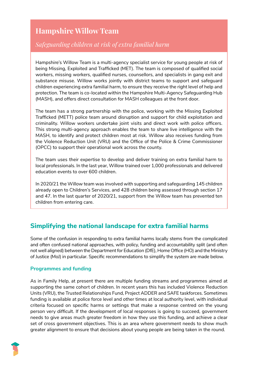# **Hampshire Willow Team**

## *Safeguarding children at risk of extra familial harm*

Hampshire's Willow Team is a multi-agency specialist service for young people at risk of being Missing, Exploited and Trafficked (MET). The team is composed of qualified social workers, missing workers, qualified nurses, counsellors, and specialists in gang exit and substance misuse. Willow works jointly with district teams to support and safeguard children experiencing extra familial harm, to ensure they receive the right level of help and protection. The team is co-located within the Hampshire Multi-Agency Safeguarding Hub (MASH), and offers direct consultation for MASH colleagues at the front door.

The team has a strong partnership with the police, working with the Missing Exploited Trafficked (METT) police team around disruption and support for child exploitation and criminality. Willow workers undertake joint visits and direct work with police officers. This strong multi-agency approach enables the team to share live intelligence with the MASH, to identify and protect children most at risk. Willow also receives funding from the Violence Reduction Unit (VRU) and the Office of the Police & Crime Commissioner (OPCC) to support their operational work across the county.

The team uses their expertise to develop and deliver training on extra familial harm to local professionals. In the last year, Willow trained over 1,000 professionals and delivered education events to over 600 children.

In 2020/21 the Willow team was involved with supporting and safeguarding 145 children already open to Children's Services, and 428 children being assessed through section 17 and 47. In the last quarter of 2020/21, support from the Willow team has prevented ten children from entering care.

## **Simplifying the national landscape for extra familial harms**

Some of the confusion in responding to extra familial harms locally stems from the complicated and often confused national approaches, with policy, funding and accountability split (and often not well aligned) between the Department for Education (DfE), Home Office (HO) and the Ministry of Justice (MoJ) in particular. Specific recommendations to simplify the system are made below.

#### **Programmes and funding**

As in Family Help, at present there are multiple funding streams and programmes aimed at supporting the same cohort of children. In recent years this has included Violence Reduction Units (VRU), the Trusted Relationships Fund, Project ADDER and SAFE taskforces. Sometimes funding is available at police force level and other times at local authority level, with individual criteria focused on specific harms or settings that make a response centred on the young person very difficult. If the development of local responses is going to succeed, government needs to give areas much greater freedom in how they use this funding, and achieve a clear set of cross government objectives. This is an area where government needs to show much greater alignment to ensure that decisions about young people are being taken in the round.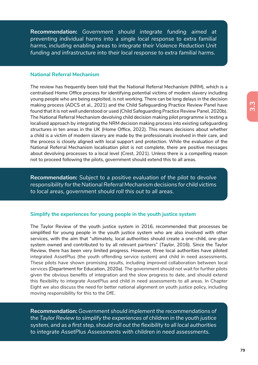**Recommendation:** *Government should integrate funding aimed at preventing individual harms into a single local response to extra familial harms, including enabling areas to integrate their Violence Reduction Unit funding and infrastructure into their local response to extra familial harms.* 

#### **National Referral Mechanism**

The review has frequently been told that the National Referral Mechanism (NRM), which is a centralised Home Office process for identifying potential victims of modern slavery including young people who are being exploited, is not working. There can be long delays in the decision making process (ADCS et al., 2021) and the Child Safeguarding Practice Review Panel have found that it is not well understood or used (Child Safeguarding Practice Review Panel, 2020b). The National Referral Mechanism devolving child decision making pilot programme is testing a localised approach by integrating the NRM decision making process into existing safeguarding structures in ten areas in the UK (Home Office, 2022). This means decisions about whether a child is a victim of modern slavery are made by the professionals involved in their care, and the process is closely aligned with local support and protection. While the evaluation of the National Referral Mechanism localisation pilot is not complete, there are positive messages about devolving processes to a local level (Crest, 2021). Unless there is a compelling reason not to proceed following the pilots, government should extend this to all areas.

**Recommendation:** *Subject to a positive evaluation of the pilot to devolve responsibility for the National Referral Mechanism decisions for child victims to local areas, government should roll this out to all areas.* 

#### **Simplify the experiences for young people in the youth justice system**

The Taylor Review of the youth justice system in 2016, recommended that processes be simplified for young people in the youth justice system who are also involved with other services, with the aim that "ultimately, local authorities should create a one-child, one-plan system owned and contributed to by all relevant partners" (Taylor, 2016). Since the Taylor Review, there has been very limited progress. However, three local authorities have piloted integrated AssetPlus (the youth offending service system) and child in need assessments. These pilots have shown promising results, including improved collaboration between local services (Department for Education, 2020a). The government should not wait for further pilots given the obvious benefits of integration and the slow progress to date, and should extend this flexibility to integrate AssetPlus and child in need assessments to all areas. In Chapter Eight we also discuss the need for better national alignment on youth justice policy, including moving responsibility for this to the DfE.

**Recommendation:** *Government should implement the recommendations of the Taylor Review to simplify the experiences of children in the youth justice system, and as a first step, should roll out the flexibility to all local authorities to integrate AssetPlus Assessments with children in need assessments.*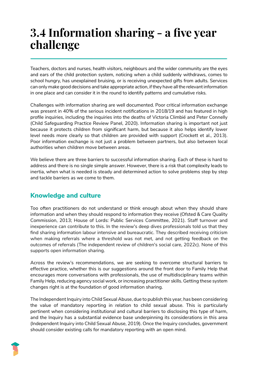# **3.4 Information sharing - a five year challenge**

Teachers, doctors and nurses, health visitors, neighbours and the wider community are the eyes and ears of the child protection system, noticing when a child suddenly withdraws, comes to school hungry, has unexplained bruising, or is receiving unexpected gifts from adults. Services can only make good decisions and take appropriate action, if they have all the relevant information in one place and can consider it in the round to identify patterns and cumulative risks.

Challenges with information sharing are well documented. Poor critical information exchange was present in 40% of the serious incident notifications in 2018/19 and has featured in high profile inquiries, including the inquiries into the deaths of Victoria Climbié and Peter Connelly (Child Safeguarding Practice Review Panel, 2020). Information sharing is important not just because it protects children from significant harm, but because it also helps identify lower level needs more clearly so that children are provided with support (Crockett et al., 2013). Poor information exchange is not just a problem between partners, but also between local authorities when children move between areas.

We believe there are three barriers to successful information sharing. Each of these is hard to address and there is no single simple answer. However, there is a risk that complexity leads to inertia, when what is needed is steady and determined action to solve problems step by step and tackle barriers as we come to them.

## **Knowledge and culture**

Too often practitioners do not understand or think enough about when they should share information and when they should respond to information they receive (Ofsted & Care Quality Commission, 2013; House of Lords: Public Services Committee, 2021). Staff turnover and inexperience can contribute to this. In the review's deep dives professionals told us that they find sharing information labour intensive and bureaucratic. They described receiving criticism when making referrals where a threshold was not met, and not getting feedback on the outcomes of referrals (The independent review of children's social care, 2022c). None of this supports open information sharing.

Across the review's recommendations, we are seeking to overcome structural barriers to effective practice, whether this is our suggestions around the front door to Family Help that encourages more conversations with professionals, the use of multidisciplinary teams within Family Help, reducing agency social work, or increasing practitioner skills. Getting these system changes right is at the foundation of good information sharing.

The Independent Inquiry into Child Sexual Abuse, due to publish this year, has been considering the value of mandatory reporting in relation to child sexual abuse. This is particularly pertinent when considering institutional and cultural barriers to disclosing this type of harm, and the Inquiry has a substantial evidence base underpinning its considerations in this area (Independent Inquiry into Child Sexual Abuse, 2019). Once the Inquiry concludes, government should consider existing calls for mandatory reporting with an open mind.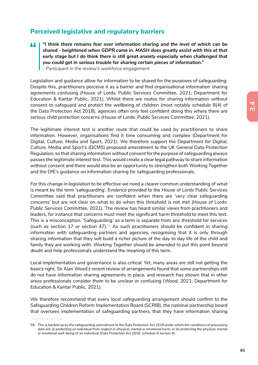## **Perceived legislative and regulatory barriers**

*"I think there remains fear over information sharing and the level of which can be shared - heightened when GDPR came in. MASH does greatly assist with this at that early stage but I do think there is still great anxiety especially when challenged that you could get in serious trouble for sharing certain pieces of information." - Participant in the review's workforce engagement*

Legislation and guidance allow for information to be shared for the purposes of safeguarding. Despite this, practitioners perceive it as a barrier and find organisational information sharing agreements confusing (House of Lords: Public Services Committee, 2021; Department for Education & Kantar Public, 2021). Whilst there are routes for sharing information without consent to safeguard and protect the wellbeing of children (most notably schedule 8(4) of the Data Protection Act 2018), agencies often only feel confident doing this where there are serious child protection concerns (House of Lords: Public Services Committee, 2021).

The legitimate interest test is another route that could be used by practitioners to share information. However, organisations find it time consuming and complex (Department for Digital, Culture, Media and Sport, 2021). We therefore support the Department for Digital, Culture, Media and Sport's (DCMS) proposed amendment to the UK General Data Protection Regulation, so that sharing information without consent for the purpose of safeguarding always passes the legitimate interest test. This would create a clear legal pathway to share information without consent and there would also be an opportunity to strengthen both *Working Together* and the DfE's guidance on information sharing for safeguarding professionals.

For this change in legislation to be effective we need a clearer common understanding of what is meant by the term 'safeguarding'. Evidence provided to the House of Lords Public Services Committee said that practitioners are confident when there are 'very clear safeguarding concerns' but are not clear on what to do when this threshold is not met (House of Lords: Public Services Committee, 2021). The review has heard similar views from practitioners and leaders, for instance that concerns must meet the significant harm threshold to meet this test. This is a misconception. 'Safeguarding' as a term is separate from any threshold for services (such as section 17 or section 47).<sup>59</sup> As such practitioners should be confident in sharing information with safeguarding partners and agencies, recognising that it is only through sharing information that they will build a richer picture of the day to day life of the child and family they are working with. *Working Together* should be amended to put this point beyond doubt and help professionals understand the meaning of this term.

Local implementation and governance is also critical. Yet, many areas are still not getting the basics right. Sir Alan Wood's recent review of arrangements found that some partnerships still do not have information sharing agreements in place, and research has shown that in other areas professionals consider them to be unclear or confusing (Wood, 2021; Department for Education & Kantar Public, 2021).

We therefore recommend that every local safeguarding arrangement should confirm to the Safeguarding Children Reform Implementation Board (SCRIB), the national partnership board that oversees implementation of safeguarding partners, that they have information sharing

<sup>59</sup> This is backed up by the safeguarding amendment to the Data Protection Act 2018 under which the conditions of processing data are: (i) protecting an individual from neglect or physical, mental or emotional harm, or (ii) protecting the physical, mental or emotional well-being of an individual (Data Protection Act 2018, schedule 8 section 4).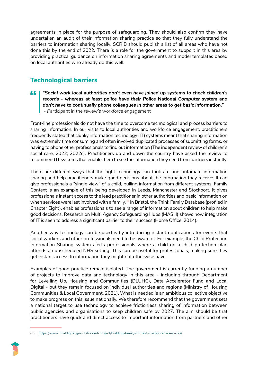agreements in place for the purpose of safeguarding. They should also confirm they have undertaken an audit of their information sharing practice so that they fully understand the barriers to information sharing locally. SCRIB should publish a list of all areas who have not done this by the end of 2022. There is a role for the government to support in this area by providing practical guidance on information sharing agreements and model templates based on local authorities who already do this well.

# **Technological barriers**

*"Social work local authorities don't even have joined up systems to check children's*  44 *records - whereas at least police have their Police National Computer system and don't have to continually phone colleagues in other areas to get basic information." - Participant in the review's workforce engagement*

Front-line professionals do not have the time to overcome technological and process barriers to sharing information. In our visits to local authorities and workforce engagement, practitioners frequently stated that clunky information technology (IT) systems meant that sharing information was extremely time consuming and often involved duplicated processes of submitting forms, or having to phone other professionals to find out information (The independent review of children's social care, 2022; 2022c). Practitioners up and down the country have asked the review to recommend IT systems that enable them to see the information they need from partners instantly.

There are different ways that the right technology can facilitate and automate information sharing and help practitioners make good decisions about the information they receive. It can give professionals a "single view" of a child, pulling information from different systems. Family Context is an example of this being developed in Leeds, Manchester and Stockport. It gives professionals instant access to the lead practitioner in other authorities and basic information on when services were last involved with a family.<sup>60</sup> In Bristol, the Think Family Database (profiled in Chapter Eight), enables professionals to see a range of information about children to help make good decisions. Research on Multi Agency Safeguarding Hubs (MASH) shows how integration of IT is seen to address a significant barrier to their success (Home Office, 2014).

Another way technology can be used is by introducing instant notifications for events that social workers and other professionals need to be aware of. For example, the Child Protection Information Sharing system alerts professionals where a child on a child protection plan attends an unscheduled NHS setting. This can be useful for professionals, making sure they get instant access to information they might not otherwise have.

Examples of good practice remain isolated. The government is currently funding a number of projects to improve data and technology in this area - including through Department for Levelling Up, Housing and Communities (DLUHC), Data Accelerator Fund and Local Digital - but they remain focused on individual authorities and regions (Ministry of Housing Communities & Local Government, 2021). What is needed is an ambitious collective objective to make progress on this issue nationally. We therefore recommend that the government sets a national target to use technology to achieve frictionless sharing of information between public agencies and organisations to keep children safe by 2027. The aim should be that practitioners have quick and direct access to important information from partners and other

<sup>60</sup> https://www.localdigital.gov.uk/funded-project/building-family-context-in-childrens-services/

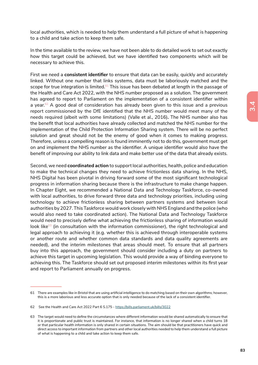local authorities, which is needed to help them understand a full picture of what is happening to a child and take action to keep them safe.

In the time available to the review, we have not been able to do detailed work to set out exactly how this target could be achieved, but we have identified two components which will be necessary to achieve this.

First we need a **consistent identifier** to ensure that data can be easily, quickly and accurately linked. Without one number that links systems, data must be laboriously matched and the scope for true integration is limited. $61$  This issue has been debated at length in the passage of the Health and Care Act 2022, with the NHS number proposed as a solution. The government has agreed to report to Parliament on the implementation of a consistent identifier within a year.<sup>62</sup> A good deal of consideration has already been given to this issue and a previous report commissioned by the DfE identified that the NHS number would meet many of the needs required (albeit with some limitations) (Valle et al., 2016)**.** The NHS number also has the benefit that local authorities have already collected and matched the NHS number for the implementation of the Child Protection Information Sharing system. There will be no perfect solution and great should not be the enemy of good when it comes to making progress. Therefore, unless a compelling reason is found imminently not to do this, government must get on and implement the NHS number as the identifier. A unique identifier would also have the benefit of improving our ability to link data and make better use of the data that already exists.

Second, we need **coordinated action** to support local authorities, health, police and education to make the technical changes they need to achieve frictionless data sharing. In the NHS, NHS Digital has been pivotal in driving forward some of the most significant technological progress in information sharing because there is the infrastructure to make change happen. In Chapter Eight, we recommended a National Data and Technology Taskforce, co-owned with local authorities, to drive forward three data and technology priorities, including using technology to achieve frictionless sharing between partners systems and between local authorities by 2027. This Taskforce would work closely with NHS England and the police (who would also need to take coordinated action). The National Data and Technology Taskforce would need to precisely define what achieving the frictionless sharing of information would look like $63$  (in consultation with the information commissioner), the right technological and legal approach to achieving it (e.g. whether this is achieved through interoperable systems or another route and whether common data standards and data quality agreements are needed), and the interim milestones that areas should meet. To ensure that all partners buy into this approach, the government should consider including a duty on partners to achieve this target in upcoming legislation. This would provide a way of binding everyone to achieving this. The Taskforce should set out proposed interim milestones within its first year and report to Parliament annually on progress.

<sup>61</sup> There are examples like in Bristol that are using artificial intelligence to do matching based on their own algorithms; however, this is a more laborious and less accurate option that is only needed because of the lack of a consistent identifier.

<sup>62</sup> See the Health and Care Act 2022 Part 6 S.175 - https://bills.parliament.uk/bills/3022

<sup>63</sup> The target would need to define the circumstances where different information would be shared automatically to ensure that it is proportionate and public trust is maintained. For instance, that information is no longer shared when a child turns 18 or that particular health information is only shared in certain situations. The aim should be that practitioners have quick and direct access to important information from partners and other local authorities needed to help them understand a full picture of what is happening to a child and take action to keep them safe.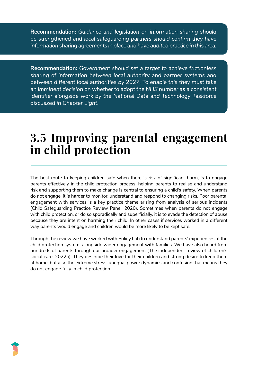**Recommendation:** *Guidance and legislation on information sharing should be strengthened and local safeguarding partners should confirm they have information sharing agreements in place and have audited practice in this area.* 

**Recommendation:** *Government should set a target to achieve frictionless sharing of information between local authority and partner systems and between different local authorities by 2027. To enable this they must take an imminent decision on whether to adopt the NHS number as a consistent identifier alongside work by the National Data and Technology Taskforce discussed in Chapter Eight.* 

# **3.5 Improving parental engagement in child protection**

The best route to keeping children safe when there is risk of significant harm, is to engage parents effectively in the child protection process, helping parents to realise and understand risk and supporting them to make change is central to ensuring a child's safety. When parents do not engage, it is harder to monitor, understand and respond to changing risks. Poor parental engagement with services is a key practice theme arising from analysis of serious incidents (Child Safeguarding Practice Review Panel, 2020). Sometimes when parents do not engage with child protection, or do so sporadically and superficially, it is to evade the detection of abuse because they are intent on harming their child. In other cases if services worked in a different way parents would engage and children would be more likely to be kept safe.

Through the review we have worked with Policy Lab to understand parents' experiences of the child protection system, alongside wider engagement with families. We have also heard from hundreds of parents through our broader engagement (The independent review of children's social care, 2022b). They describe their love for their children and strong desire to keep them at home, but also the extreme stress, unequal power dynamics and confusion that means they do not engage fully in child protection.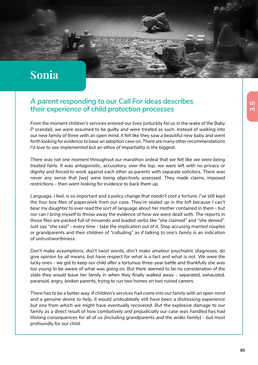# **Sonia**

## *A parent responding to our Call For ideas describes their experience of child protection processes*

*From the moment children's services entered our lives (unluckily for us in the wake of the Baby P* scandal), we were assumed to be guilty and were treated as such. Instead of walking into *our new family of three with an open mind, it felt like they saw a beautiful new baby and went forth looking for evidence to base an adoption case on. There are many other recommendations I'd love to see implemented but an ethos of impartiality is the biggest.* 

*There was not one moment throughout our marathon ordeal that we felt like we were being treated fairly. It was antagonistic, accusatory, over the top, we were left with no privacy or dignity and forced to work against each other as parents with separate solicitors. There was never any sense that [we] were being objectively assessed. They made claims, imposed restrictions - then went looking for evidence to back them up.*

*Language, I feel, is so important and a policy change that needn't cost a fortune. I've still kept the four box files of paperwork from our case. They're sealed up in the loft because I can't bear my daughter to ever read the sort of language about her mother contained in them - but nor can I bring myself to throw away the evidence of how we were dealt with. The reports in those files are packed full of innuendo and loaded verbs like "she claimed" and "she denied". Just say "she said" - every time - take the implication out of it. Stop accusing married couples or grandparents and their children of "colluding" as if talking to one's family is an indication of untrustworthiness.* 

*Don't make assumptions, don't twist words, don't make amateur psychiatric diagnoses, do give opinion by all means, but have respect for what is a fact and what is not. We were the lucky ones - we got to keep our child after a torturous three-year battle and thankfully she was too young to be aware of what was going on. But there seemed to be no consideration of the state they would leave her family in when they finally walked away - separated, exhausted, paranoid, angry, broken parents, trying to run two homes on two ruined careers.* 

*There has to be a better way. If children's services had come into our family with an open mind and a genuine desire to help, it would undoubtedly still have been a distressing experience but one from which we might have eventually recovered. But the explosive damage to our family as a direct result of how combatively and prejudicially our case was handled has had lifelong consequences for all of us (including grandparents and the wider family) - but most profoundly for our child.*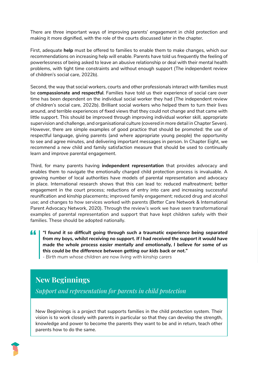There are three important ways of improving parents' engagement in child protection and making it more dignified, with the role of the courts discussed later in the chapter.

First, adequate **help** must be offered to families to enable them to make changes, which our recommendations on increasing help will enable. Parents have told us frequently the feeling of powerlessness of being asked to leave an abusive relationship or deal with their mental health problems, with tight time constraints and without enough support (The independent review of children's social care, 2022b).

Second, the way that social workers, courts and other professionals interact with families must be **compassionate and respectful**. Families have told us their experience of social care over time has been dependent on the individual social worker they had (The independent review of children's social care, 2022b). Brilliant social workers who helped them to turn their lives around, and terrible experiences of fixed views that they could not change and that came with little support. This should be improved through improving individual worker skill, appropriate supervision and challenge, and organisational culture (covered in more detail in Chapter Seven). However, there are simple examples of good practice that should be promoted: the use of respectful language, giving parents (and where appropriate young people) the opportunity to see and agree minutes, and delivering important messages in person. In Chapter Eight, we recommend a new child and family satisfaction measure that should be used to continually learn and improve parental engagement.

Third, for many parents having **independent representation** that provides advocacy and enables them to navigate the emotionally charged child protection process is invaluable. A growing number of local authorities have models of parental representation and advocacy in place. International research shows that this can lead to: reduced maltreatment; better engagement in the court process; reductions of entry into care and increasing successful reunification and kinship placements; improved family engagement; reduced drug and alcohol use; and changes to how services worked with parents (Better Care Network & International Parent Advocacy Network, 2020). Through the review's work we have seen transformational examples of parental representation and support that have kept children safely with their families. These should be adopted nationally.

44 *"I found it so difficult going through such a traumatic experience being separated from my boys, whilst receiving no support. If I had received the support it would have made the whole process easier mentally and emotionally, I believe for some of us this could be the difference between getting our kids back or not."* 

*- Birth mum whose children are now living with kinship carers*

# **New Beginnings**

*Support and representation for parents in child protection*

New Beginnings is a project that supports families in the child protection system. Their vision is to work closely with parents in particular so that they can develop the strength, knowledge and power to become the parents they want to be and in return, teach other parents how to do the same.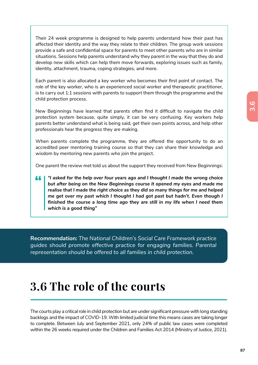Their 24 week programme is designed to help parents understand how their past has affected their identity and the way they relate to their children. The group work sessions provide a safe and confidential space for parents to meet other parents who are in similar situations. Sessions help parents understand why they parent in the way that they do and develop new skills which can help them move forwards, exploring issues such as family, identity, attachment, trauma, coping strategies, and more.

Each parent is also allocated a key worker who becomes their first point of contact. The role of the key worker, who is an experienced social worker and therapeutic practitioner, is to carry out 1:1 sessions with parents to support them through the programme and the child protection process.

New Beginnings have learned that parents often find it difficult to navigate the child protection system because, quite simply, it can be very confusing. Key workers help parents better understand what is being said, get their own points across, and help other professionals hear the progress they are making.

When parents complete the programme, they are offered the opportunity to do an accredited peer mentoring training course so that they can share their knowledge and wisdom by mentoring new parents who join the project.

One parent the review met told us about the support they received from New Beginnings:

*"I asked for the help over four years ago and I thought I made the wrong choice*  44 *but after being on the New Beginnings course it opened my eyes and made me realise that I made the right choice as they did so many things for me and helped me get over my past which I thought I had got past but hadn't. Even though I finished the course a long time ago they are still in my life when I need them which is a good thing"* 

**Recommendation:** *The National Children's Social Care Framework practice guides should promote effective practice for engaging families. Parental representation should be offered to all families in child protection.* 

# **3.6 The role of the courts**

The courts play a critical role in child protection but are under significant pressure with long standing backlogs and the impact of COVID-19. With limited judicial time this means cases are taking longer to complete. Between July and September 2021, only 24% of public law cases were completed within the 26 weeks required under the Children and Families Act 2014 (Ministry of Justice, 2021).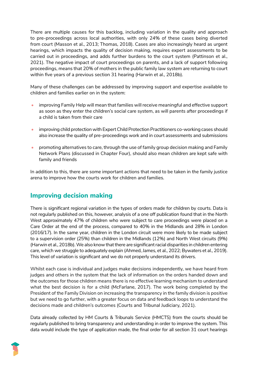There are multiple causes for this backlog, including variation in the quality and approach to pre-proceedings across local authorities, with only 24% of these cases being diverted from court (Masson et al., 2013; Thomas, 2018). Cases are also increasingly heard as urgent hearings, which impacts the quality of decision making, requires expert assessments to be carried out in proceedings, and adds further burdens to the court system (Pattinson et al., 2021). The negative impact of court proceedings on parents, and a lack of support following proceedings, means that 20% of mothers in the public family law system are returning to court within five years of a previous section 31 hearing (Harwin et al., 2018b).

Many of these challenges can be addressed by improving support and expertise available to children and families earlier on in the system:

- improving Family Help will mean that families will receive meaningful and effective support as soon as they enter the children's social care system, as will parents after proceedings if a child is taken from their care
- improving child protection with Expert Child Protection Practitioners co-working cases should also increase the quality of pre-proceedings work and in court assessments and submissions
- promoting alternatives to care, through the use of family group decision making and Family Network Plans (discussed in Chapter Four), should also mean children are kept safe with family and friends

In addition to this, there are some important actions that need to be taken in the family justice arena to improve how the courts work for children and families.

# **Improving decision making**

There is significant regional variation in the types of orders made for children by courts. Data is not regularly published on this, however, analysis of a one off publication found that in the North West approximately 47% of children who were subject to care proceedings were placed on a Care Order at the end of the process, compared to 40% in the Midlands and 28% in London (2016/17). In the same year, children in the London circuit were more likely to be made subject to a supervision order (25%) than children in the Midlands (12%) and North West circuits (9%) (Harwin et al., 2018b). We also know that there are significant racial disparities in children entering care, which we struggle to adequately explain (Ahmed, James, et al., 2022; Bywaters et al., 2019). This level of variation is significant and we do not properly understand its drivers.

Whilst each case is individual and judges make decisions independently, we have heard from judges and others in the system that the lack of information on the orders handed down and the outcomes for those children means there is no effective learning mechanism to understand what the best decision is for a child (McFarlane, 2017). The work being completed by the President of the Family Division on increasing the transparency in the family division is positive but we need to go further, with a greater focus on data and feedback loops to understand the decisions made and children's outcomes (Courts and Tribunal Judiciary, 2021).

Data already collected by HM Courts & Tribunals Service (HMCTS) from the courts should be regularly published to bring transparency and understanding in order to improve the system. This data would include the type of application made, the final order for all section 31 court hearings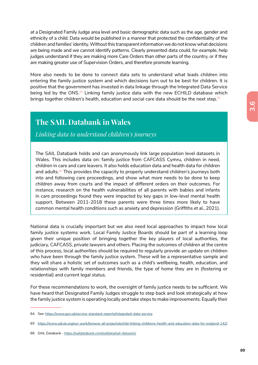at a Designated Family Judge area level and basic demographic data such as the age, gender and ethnicity of a child. Data would be published in a manner that protected the confidentiality of the children and families' identity. Without this transparent information we do not know what decisions are being made and we cannot identify patterns. Clearly presented data could, for example, help judges understand if they are making more Care Orders than other parts of the country, or if they are making greater use of Supervision Orders, and therefore promote learning.

More also needs to be done to connect data sets to understand what leads children into entering the family justice system and which decisions turn out to be best for children. It is positive that the government has invested in data linkage through the Integrated Data Service being led by the ONS.<sup>64</sup> Linking family justice data with the new ECHILD database which brings together children's health, education and social care data should be the next step.<sup>65</sup>

# **The SAIL Databank in Wales**

#### *Linking data to understand children's journeys*

The SAIL Databank holds and can anonymously link large population level datasets in Wales. This includes data on: family justice from CAFCASS Cymru, children in need, children in care and care leavers. It also holds education data and health data for children and adults.<sup>66</sup> This provides the capacity to properly understand children's journeys both into and following care proceedings, and show what more needs to be done to keep children away from courts and the impact of different orders on their outcomes. For instance, research on the health vulnerabilities of all parents with babies and infants in care proceedings found they were impacted by key gaps in low-level mental health support. Between 2011-2018 these parents were three times more likely to have common mental health conditions such as anxiety and depression (Griffiths et al., 2021).

National data is crucially important but we also need local approaches to impact how local family justice systems work. Local Family Justice Boards should be part of a learning loop given their unique position of bringing together the key players of local authorities, the judiciary, CAFCASS, private lawyers and others. Placing the outcomes of children at the centre of this process, local authorities should be required to regularly provide an update on children who have been through the family justice system. These will be a representative sample and they will share a holistic set of outcomes such as a child's wellbeing, health, education, and relationships with family members and friends, the type of home they are in (fostering or residential) and current legal status.

For these recommendations to work, the oversight of family justice needs to be sufficient. We have heard that Designated Family Judges struggle to step back and look strategically at how the family justice system is operating locally and take steps to make improvements. Equally their

<sup>64</sup> See: https://www.gov.uk/service-standard-reports/integrated-data-service

<sup>65</sup> https://www.adruk.org/our-work/browse-all-projects/echild-linking-childrens-health-and-education-data-for-england-142/

<sup>66</sup> SAIL Databank - https://saildatabank.com/saildata/sail-datasets/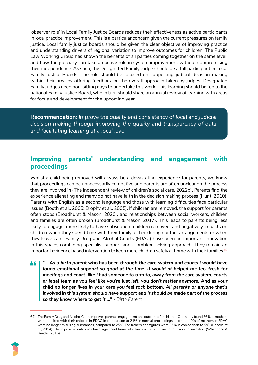'observer role' in Local Family Justice Boards reduces their effectiveness as active participants in local practice improvement. This is a particular concern given the current pressures on family justice. Local family justice boards should be given the clear objective of improving practice and understanding drivers of regional variation to improve outcomes for children. The Public Law Working Group has shown the benefits of all parties coming together on the same level, and how the judiciary can take an active role in system improvement without compromising their independence. As such, the Designated Family Judge should be a full participant in Local Family Justice Boards. The role should be focused on supporting judicial decision making within their area by offering feedback on the overall approach taken by judges. Designated Family Judges need non-sitting days to undertake this work. This learning should be fed to the national Family Justice Board, who in turn should share an annual review of learning with areas for focus and development for the upcoming year.

**Recommendation:** *Improve the quality and consistency of local and judicial decision making through improving the quality and transparency of data and facilitating learning at a local level.* 

## **Improving parents' understanding and engagement with proceedings**

Whilst a child being removed will always be a devastating experience for parents, we know that proceedings can be unnecessarily combative and parents are often unclear on the process they are involved in (The independent review of children's social care, 2022b). Parents find the experience alienating and many do not have faith in the decision making process (Hunt, 2010). Parents with English as a second language and those with learning difficulties face particular issues (Booth et al., 2005; Brophy et al., 2005). If children are removed, the support for parents often stops (Broadhurst & Mason, 2020), and relationships between social workers, children and families are often broken (Broadhurst & Mason, 2017). This leads to parents being less likely to engage, more likely to have subsequent children removed, and negatively impacts on children when they spend time with their family, either during contact arrangements or when they leave care. Family Drug and Alcohol Courts (FDAC) have been an important innovation in this space, combining specialist support and a problem solving approach. They remain an important evidence based intervention to keep more children safely at home with their families.<sup>67</sup>

*"… As a birth parent who has been through the care system and courts I would have*  44 *found emotional support so good at the time. It would of helped me feel fresh for meetings and court, like I had someone to turn to, away from the care system, courts or legal team as you feel like you're just left, you don't matter anymore. And as your child no longer lives in your care you feel rock bottom. All parents or anyone that's involved in this system should have support and it should be made part of the process so they know where to get it …" - Birth Parent*

<sup>67</sup> The Family Drug and Alcohol Court improves parental engagement and outcomes for children. One study found 36% of mothers were reunited with their children in FDAC in comparison to 24% in normal proceedings, and that 40% of mothers in FDAC were no longer misusing substances, compared to 25%. For fathers, the figures were 25% in comparison to 5%. (Harwin et al., 2014). These positive outcomes have significant financial returns with £2.30 saved for every £1 invested. (Whitehead & Reeder, 2016).